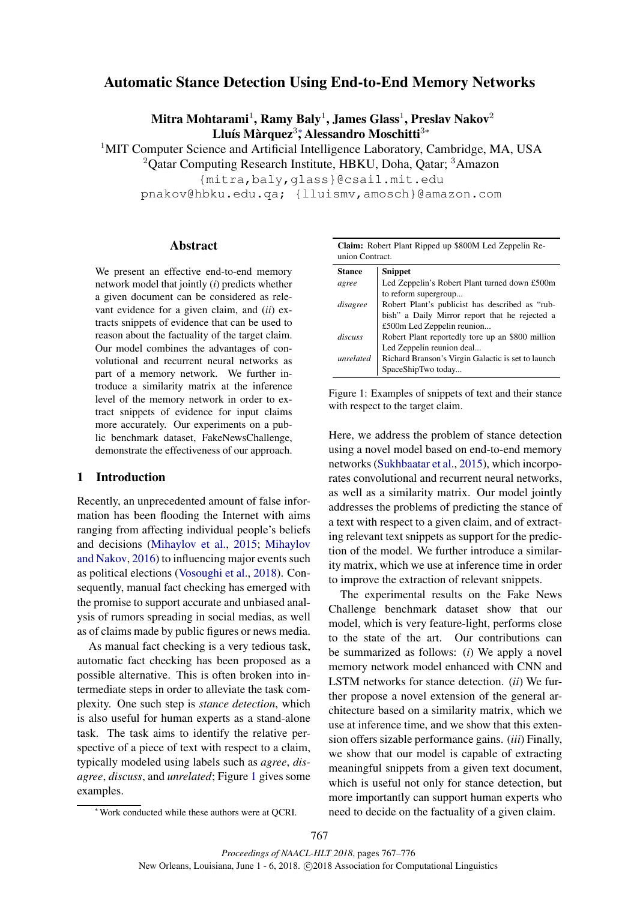# Automatic Stance Detection Using End-to-End Memory Networks

Mitra Mohtarami $^1$ , Ramy Baly $^1$ , James Glass $^1$ , Preslav Nakov $^2$ Lluís Màrquez<sup>3</sup>; Alessandro Moschitti<sup>3∗</sup>

<sup>1</sup>MIT Computer Science and Artificial Intelligence Laboratory, Cambridge, MA, USA <sup>2</sup>Oatar Computing Research Institute, HBKU, Doha, Oatar; <sup>3</sup>Amazon

{mitra,baly,glass}@csail.mit.edu

pnakov@hbku.edu.qa; {lluismv,amosch}@amazon.com

# Abstract

We present an effective end-to-end memory network model that jointly (*i*) predicts whether a given document can be considered as relevant evidence for a given claim, and (*ii*) extracts snippets of evidence that can be used to reason about the factuality of the target claim. Our model combines the advantages of convolutional and recurrent neural networks as part of a memory network. We further introduce a similarity matrix at the inference level of the memory network in order to extract snippets of evidence for input claims more accurately. Our experiments on a public benchmark dataset, FakeNewsChallenge, demonstrate the effectiveness of our approach.

# 1 Introduction

Recently, an unprecedented amount of false information has been flooding the Internet with aims ranging from affecting individual people's beliefs and decisions (Mihaylov et al., 2015; Mihaylov and Nakov, 2016) to influencing major events such as political elections (Vosoughi et al., 2018). Consequently, manual fact checking has emerged with the promise to support accurate and unbiased analysis of rumors spreading in social medias, as well as of claims made by public figures or news media.

As manual fact checking is a very tedious task, automatic fact checking has been proposed as a possible alternative. This is often broken into intermediate steps in order to alleviate the task complexity. One such step is *stance detection*, which is also useful for human experts as a stand-alone task. The task aims to identify the relative perspective of a piece of text with respect to a claim, typically modeled using labels such as *agree*, *disagree*, *discuss*, and *unrelated*; Figure 1 gives some examples.

|                 |  |  |  | Claim: Robert Plant Ripped up \$800M Led Zeppelin Re- |  |
|-----------------|--|--|--|-------------------------------------------------------|--|
| union Contract. |  |  |  |                                                       |  |

| <b>Stance</b> | <b>Snippet</b>                                     |
|---------------|----------------------------------------------------|
| agree         | Led Zeppelin's Robert Plant turned down £500m      |
|               | to reform supergroup                               |
| disagree      | Robert Plant's publicist has described as "rub-    |
|               | bish" a Daily Mirror report that he rejected a     |
|               | £500m Led Zeppelin reunion                         |
| discuss       | Robert Plant reportedly tore up an \$800 million   |
|               | Led Zeppelin reunion deal                          |
| unrelated     | Richard Branson's Virgin Galactic is set to launch |
|               | SpaceShipTwo today                                 |

Figure 1: Examples of snippets of text and their stance with respect to the target claim.

Here, we address the problem of stance detection using a novel model based on end-to-end memory networks (Sukhbaatar et al., 2015), which incorporates convolutional and recurrent neural networks, as well as a similarity matrix. Our model jointly addresses the problems of predicting the stance of a text with respect to a given claim, and of extracting relevant text snippets as support for the prediction of the model. We further introduce a similarity matrix, which we use at inference time in order to improve the extraction of relevant snippets.

The experimental results on the Fake News Challenge benchmark dataset show that our model, which is very feature-light, performs close to the state of the art. Our contributions can be summarized as follows: (*i*) We apply a novel memory network model enhanced with CNN and LSTM networks for stance detection. (*ii*) We further propose a novel extension of the general architecture based on a similarity matrix, which we use at inference time, and we show that this extension offers sizable performance gains. (*iii*) Finally, we show that our model is capable of extracting meaningful snippets from a given text document, which is useful not only for stance detection, but more importantly can support human experts who need to decide on the factuality of a given claim.

<sup>∗</sup>Work conducted while these authors were at QCRI.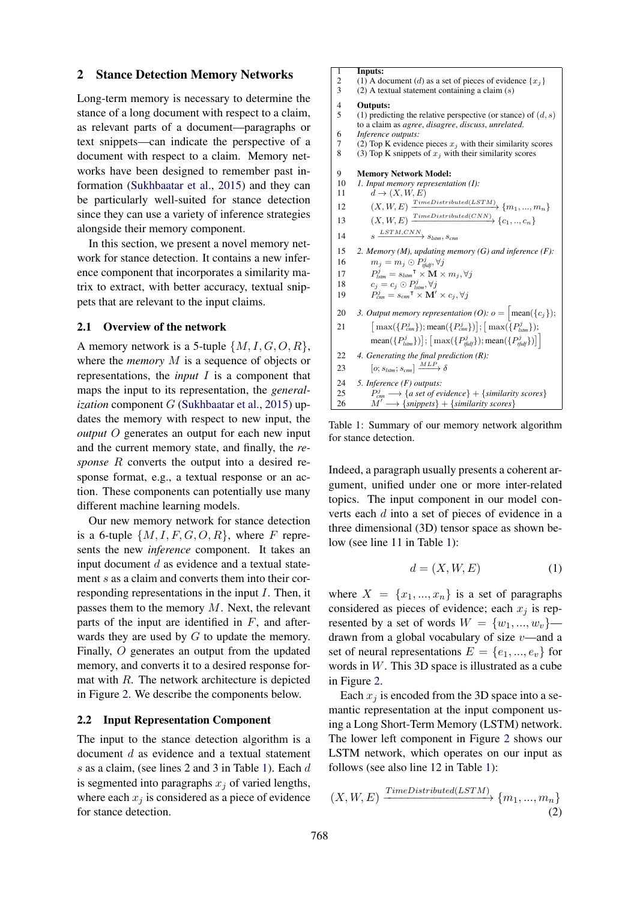### 2 Stance Detection Memory Networks

Long-term memory is necessary to determine the stance of a long document with respect to a claim, as relevant parts of a document—paragraphs or text snippets—can indicate the perspective of a document with respect to a claim. Memory networks have been designed to remember past information (Sukhbaatar et al., 2015) and they can be particularly well-suited for stance detection since they can use a variety of inference strategies alongside their memory component.

In this section, we present a novel memory network for stance detection. It contains a new inference component that incorporates a similarity matrix to extract, with better accuracy, textual snippets that are relevant to the input claims.

### 2.1 Overview of the network

A memory network is a 5-tuple  $\{M, I, G, O, R\}$ , where the *memory* M is a sequence of objects or representations, the *input* I is a component that maps the input to its representation, the *generalization* component G (Sukhbaatar et al., 2015) updates the memory with respect to new input, the *output* O generates an output for each new input and the current memory state, and finally, the *response* R converts the output into a desired response format, e.g., a textual response or an action. These components can potentially use many different machine learning models.

Our new memory network for stance detection is a 6-tuple  $\{M, I, F, G, O, R\}$ , where F represents the new *inference* component. It takes an input document  $d$  as evidence and a textual statement s as a claim and converts them into their corresponding representations in the input I. Then, it passes them to the memory  $M$ . Next, the relevant parts of the input are identified in  $F$ , and afterwards they are used by  $G$  to update the memory. Finally, O generates an output from the updated memory, and converts it to a desired response format with  $R$ . The network architecture is depicted in Figure 2. We describe the components below.

### 2.2 Input Representation Component

The input to the stance detection algorithm is a document d as evidence and a textual statement s as a claim, (see lines 2 and 3 in Table 1). Each d is segmented into paragraphs  $x_i$  of varied lengths, where each  $x_j$  is considered as a piece of evidence for stance detection.

2 (1) A document (d) as a set of pieces of evidence  $\{x_j\}$ <br>3 (2) A textual statement containing a claim (s)  $(2)$  A textual statement containing a claim  $(s)$ 4 **Outputs:**<br>5 (1) predic (1) predicting the relative perspective (or stance) of  $(d, s)$ to a claim as *agree*, *disagree*, *discuss*, *unrelated*. 6 *Inference outputs:* 7 (2) Top K evidence pieces  $x_j$  with their similarity scores<br>8 (3) Top K snippets of  $x_j$  with their similarity scores (3) Top K snippets of  $x_j$  with their similarity scores 9 **Memory Network Model:**<br>10 *1. Input memory represente* 10 *1. Input memory representation (I):* 11  $d \rightarrow (X, W, E)$ 12  $(X, W, E) \xrightarrow{TimeDistributed(LSTM)} \{m_1, ..., m_n\}$ 13  $(X, W, E) \xrightarrow{\text{TimeDistributed}(CNN)} \{c_1, .., c_n\}$ 14  $s \xrightarrow{LSTM,CNN} s_{lstm}, s_{cnn}$ 15 *2. Memory (M), updating memory (G) and inference (F):* 16  $m_j = m_j \odot P_{\text{tfidf}}^j, \forall j$ 17  $\mathbf{p}_{\textit{lstm}}^{j} = s_{\textit{lstm}}$ T  $\times$   $\mathbf{\hat{M}} \times m_{j}, \forall j$ 18  $c_j = c_j \odot P_{lstm}^j, \forall j$ 19  $P_{cm}^j = s_{cm}^\mathsf{T} \times \mathbf{M}' \times c_j, \forall j$ 20 3. Output memory representation (O):  $o = \begin{bmatrix} \text{mean} \{c_j\} \\ \end{bmatrix}$ ;  $21$  $\left[\max({P_{cm}^{j}})\right]; \left[\max({P_{lm}^{j}})\right]; \left[\max({P_{lstm}^{j}})\right];$  $\left[\text{mean}(\lbrace P_{\text{Istm}}^j \rbrace)\right]; \left[\text{max}(\lbrace P_{\text{fidf}}^j \rbrace)\text{; mean}(\lbrace P_{\text{fidf}}^j \rbrace)\right]$ 22 *4. Generating the final prediction (R):* 23  $\left[0; s_{lstm}; s_{cnn}\right] \xrightarrow{MLP} \delta$ 24 *5. Inference (F) outputs:* 25  $P_{cm}^{j} \longrightarrow \{$  a set of evidence  $\} + \{$ similarity scores  $\}$ 26  $M' \longrightarrow \{ \text{snippets} \} + \{ \text{similarity scores} \}$ 

 $\begin{array}{cc} 1 & \text{InputStream:} \\ 2 & (1) \text{ A } \text{d} \end{array}$ 

Table 1: Summary of our memory network algorithm for stance detection.

Indeed, a paragraph usually presents a coherent argument, unified under one or more inter-related topics. The input component in our model converts each d into a set of pieces of evidence in a three dimensional (3D) tensor space as shown below (see line 11 in Table 1):

$$
d = (X, W, E) \tag{1}
$$

where  $X = \{x_1, ..., x_n\}$  is a set of paragraphs considered as pieces of evidence; each  $x_i$  is represented by a set of words  $W = \{w_1, ..., w_v\}$  drawn from a global vocabulary of size  $v$ —and a set of neural representations  $E = \{e_1, ..., e_n\}$  for words in W. This 3D space is illustrated as a cube in Figure 2.

Each  $x_i$  is encoded from the 3D space into a semantic representation at the input component using a Long Short-Term Memory (LSTM) network. The lower left component in Figure 2 shows our LSTM network, which operates on our input as follows (see also line 12 in Table 1):

$$
(X, W, E) \xrightarrow{\text{TimeDistributed}(LSTM)} \{m_1, ..., m_n\} \tag{2}
$$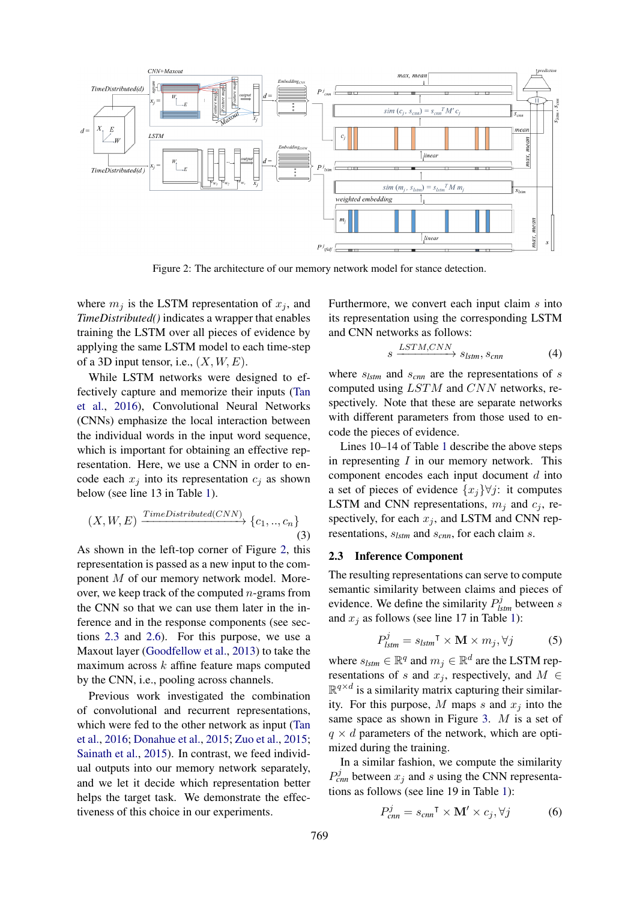

Figure 2: The architecture of our memory network model for stance detection.

where  $m_i$  is the LSTM representation of  $x_i$ , and *TimeDistributed()* indicates a wrapper that enables training the LSTM over all pieces of evidence by applying the same LSTM model to each time-step of a 3D input tensor, i.e.,  $(X, W, E)$ .

While LSTM networks were designed to effectively capture and memorize their inputs (Tan et al., 2016), Convolutional Neural Networks (CNNs) emphasize the local interaction between the individual words in the input word sequence, which is important for obtaining an effective representation. Here, we use a CNN in order to encode each  $x_i$  into its representation  $c_i$  as shown below (see line 13 in Table 1).

$$
(X, W, E) \xrightarrow{\text{TimeDistributed}(CNN)} \{c_1, ..., c_n\} \tag{3}
$$

As shown in the left-top corner of Figure 2, this representation is passed as a new input to the component M of our memory network model. Moreover, we keep track of the computed  $n$ -grams from the CNN so that we can use them later in the inference and in the response components (see sections 2.3 and 2.6). For this purpose, we use a Maxout layer (Goodfellow et al., 2013) to take the maximum across  $k$  affine feature maps computed by the CNN, i.e., pooling across channels.

Previous work investigated the combination of convolutional and recurrent representations, which were fed to the other network as input (Tan et al., 2016; Donahue et al., 2015; Zuo et al., 2015; Sainath et al., 2015). In contrast, we feed individual outputs into our memory network separately, and we let it decide which representation better helps the target task. We demonstrate the effectiveness of this choice in our experiments.

Furthermore, we convert each input claim  $s$  into its representation using the corresponding LSTM and CNN networks as follows:

$$
s \xrightarrow{LSTM,CNN} s_{lstm}, s_{cnn} \tag{4}
$$

where s*lstm* and s*cnn* are the representations of s computed using LSTM and CNN networks, respectively. Note that these are separate networks with different parameters from those used to encode the pieces of evidence.

Lines 10–14 of Table 1 describe the above steps in representing  $I$  in our memory network. This component encodes each input document  $d$  into a set of pieces of evidence  $\{x_i\} \forall j$ : it computes LSTM and CNN representations,  $m_i$  and  $c_i$ , respectively, for each  $x_j$ , and LSTM and CNN representations, s*lstm* and s*cnn*, for each claim s.

#### 2.3 Inference Component

The resulting representations can serve to compute semantic similarity between claims and pieces of evidence. We define the similarity  $P_{lstm}^{j}$  between s and  $x_i$  as follows (see line 17 in Table 1):

$$
P_{lstm}^{j} = s_{lstm}^{\mathsf{T}} \times \mathbf{M} \times m_{j}, \forall j \tag{5}
$$

where  $s_{lstm} \in \mathbb{R}^q$  and  $m_j \in \mathbb{R}^d$  are the LSTM representations of s and  $x_j$ , respectively, and  $M \in$  $\mathbb{R}^{q \times d}$  is a similarity matrix capturing their similarity. For this purpose, M maps s and  $x_i$  into the same space as shown in Figure 3. M is a set of  $q \times d$  parameters of the network, which are optimized during the training.

In a similar fashion, we compute the similarity  $P_{cm}^{j}$  between  $x_j$  and s using the CNN representations as follows (see line 19 in Table 1):

$$
P_{cnn}^{j} = s_{cnn}^{\mathsf{T}} \times \mathbf{M}' \times c_{j}, \forall j \tag{6}
$$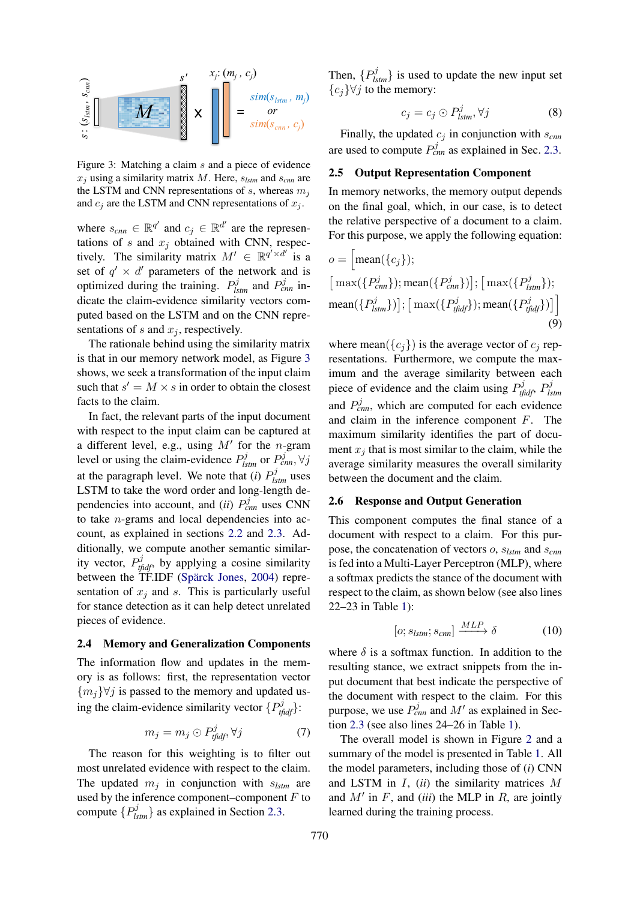

Figure 3: Matching a claim s and a piece of evidence  $x_i$  using a similarity matrix M. Here,  $s_{lstm}$  and  $s_{cnn}$  are the LSTM and CNN representations of  $s$ , whereas  $m_j$ and  $c_j$  are the LSTM and CNN representations of  $x_j$ .

where  $s_{cmn} \in \mathbb{R}^{q'}$  and  $c_j \in \mathbb{R}^{d'}$  are the representations of s and  $x_j$  obtained with CNN, respectively. The similarity matrix  $M' \in \mathbb{R}^{q' \times d'}$  is a set of  $q' \times d'$  parameters of the network and is optimized during the training.  $P_{lstm}^{j}$  and  $P_{cnn}^{j}$  indicate the claim-evidence similarity vectors computed based on the LSTM and on the CNN representations of s and  $x_j$ , respectively.

The rationale behind using the similarity matrix is that in our memory network model, as Figure 3 shows, we seek a transformation of the input claim such that  $s' = M \times s$  in order to obtain the closest facts to the claim.

In fact, the relevant parts of the input document with respect to the input claim can be captured at a different level, e.g., using  $M'$  for the *n*-gram level or using the claim-evidence  $P_{lstm}^{j}$  or  $P_{cnn}^{j}, \forall j$ at the paragraph level. We note that (*i*)  $P_{lstm}^{j}$  uses LSTM to take the word order and long-length dependencies into account, and *(ii)*  $P_{cm}^{j}$  uses CNN to take  $n$ -grams and local dependencies into account, as explained in sections 2.2 and 2.3. Additionally, we compute another semantic similarity vector,  $P_{tfidf}^j$ , by applying a cosine similarity between the TF.IDF (Spärck Jones, 2004) representation of  $x_i$  and s. This is particularly useful for stance detection as it can help detect unrelated pieces of evidence.

#### 2.4 Memory and Generalization Components

The information flow and updates in the memory is as follows: first, the representation vector  ${m<sub>i</sub>}$  $\forall j$  is passed to the memory and updated using the claim-evidence similarity vector  $\{P_{tfidf}^j\}$ :

$$
m_j = m_j \odot P_{\text{tfidf}}^j, \forall j \tag{7}
$$

The reason for this weighting is to filter out most unrelated evidence with respect to the claim. The updated  $m_j$  in conjunction with  $s_{lstm}$  are used by the inference component–component  $F$  to compute  $\{P_{lstm}^j\}$  as explained in Section 2.3.

Then,  $\{P_{lstm}^{j}\}\$ is used to update the new input set  ${c_j}\forall j$  to the memory:

$$
c_j = c_j \odot P_{lstm}^j, \forall j \tag{8}
$$

Finally, the updated  $c_j$  in conjunction with  $s_{cnn}$ are used to compute  $P_{cm}^{j}$  as explained in Sec. 2.3.

# 2.5 Output Representation Component

In memory networks, the memory output depends on the final goal, which, in our case, is to detect the relative perspective of a document to a claim. For this purpose, we apply the following equation:

$$
o = \left[\text{mean}(\lbrace c_j \rbrace); \right.\n\left[\max(\lbrace P_{cm}^j \rbrace);\text{mean}(\lbrace P_{cm}^j \rbrace)\right]; \left[\max(\lbrace P_{lstm}^j \rbrace);\text{mean}(\lbrace P_{lstm}^j \rbrace)\right];\n\left[\max(\lbrace P_{tfidf}^j \rbrace);\text{mean}(\lbrace P_{tfidf}^j \rbrace)\right]\n\tag{9}
$$

where mean( $\{c_i\}$ ) is the average vector of  $c_i$  representations. Furthermore, we compute the maximum and the average similarity between each piece of evidence and the claim using  $P_{tfidf}^j$ ,  $P_{ls}^j$ *lstm* and  $P_{cnn}^{j}$ , which are computed for each evidence and claim in the inference component F. The maximum similarity identifies the part of document  $x_i$  that is most similar to the claim, while the average similarity measures the overall similarity between the document and the claim.

# 2.6 Response and Output Generation

This component computes the final stance of a document with respect to a claim. For this purpose, the concatenation of vectors o, s*lstm* and s*cnn* is fed into a Multi-Layer Perceptron (MLP), where a softmax predicts the stance of the document with respect to the claim, as shown below (see also lines 22–23 in Table 1):

$$
[o; s_{lstm}; s_{cnn}] \xrightarrow{MLP} \delta \tag{10}
$$

where  $\delta$  is a softmax function. In addition to the resulting stance, we extract snippets from the input document that best indicate the perspective of the document with respect to the claim. For this purpose, we use  $P_{cm}^{j}$  and  $M'$  as explained in Section 2.3 (see also lines 24–26 in Table 1).

The overall model is shown in Figure 2 and a summary of the model is presented in Table 1. All the model parameters, including those of (*i*) CNN and LSTM in I, (*ii*) the similarity matrices M and  $M'$  in  $F$ , and *(iii)* the MLP in  $R$ , are jointly learned during the training process.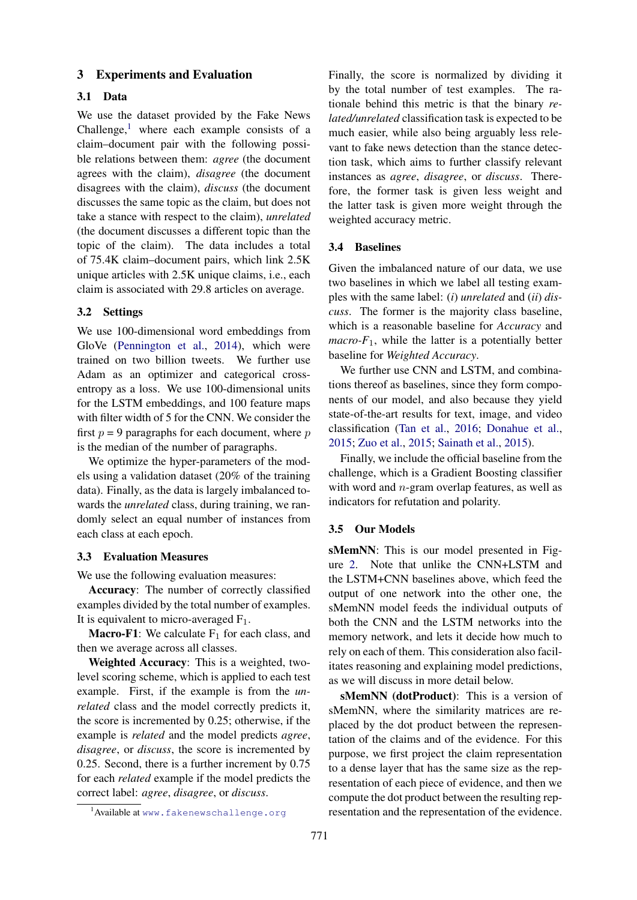# 3 Experiments and Evaluation

#### 3.1 Data

We use the dataset provided by the Fake News Challenge, $<sup>1</sup>$  where each example consists of a</sup> claim–document pair with the following possible relations between them: *agree* (the document agrees with the claim), *disagree* (the document disagrees with the claim), *discuss* (the document discusses the same topic as the claim, but does not take a stance with respect to the claim), *unrelated* (the document discusses a different topic than the topic of the claim). The data includes a total of 75.4K claim–document pairs, which link 2.5K unique articles with 2.5K unique claims, i.e., each claim is associated with 29.8 articles on average.

### 3.2 Settings

We use 100-dimensional word embeddings from GloVe (Pennington et al., 2014), which were trained on two billion tweets. We further use Adam as an optimizer and categorical crossentropy as a loss. We use 100-dimensional units for the LSTM embeddings, and 100 feature maps with filter width of 5 for the CNN. We consider the first  $p = 9$  paragraphs for each document, where p is the median of the number of paragraphs.

We optimize the hyper-parameters of the models using a validation dataset (20% of the training data). Finally, as the data is largely imbalanced towards the *unrelated* class, during training, we randomly select an equal number of instances from each class at each epoch.

#### 3.3 Evaluation Measures

We use the following evaluation measures:

Accuracy: The number of correctly classified examples divided by the total number of examples. It is equivalent to micro-averaged  $F_1$ .

**Macro-F1:** We calculate  $F_1$  for each class, and then we average across all classes.

Weighted Accuracy: This is a weighted, twolevel scoring scheme, which is applied to each test example. First, if the example is from the *unrelated* class and the model correctly predicts it, the score is incremented by 0.25; otherwise, if the example is *related* and the model predicts *agree*, *disagree*, or *discuss*, the score is incremented by 0.25. Second, there is a further increment by 0.75 for each *related* example if the model predicts the correct label: *agree*, *disagree*, or *discuss*.

Finally, the score is normalized by dividing it by the total number of test examples. The rationale behind this metric is that the binary *related/unrelated* classification task is expected to be much easier, while also being arguably less relevant to fake news detection than the stance detection task, which aims to further classify relevant instances as *agree*, *disagree*, or *discuss*. Therefore, the former task is given less weight and the latter task is given more weight through the weighted accuracy metric.

### 3.4 Baselines

Given the imbalanced nature of our data, we use two baselines in which we label all testing examples with the same label: (*i*) *unrelated* and (*ii*) *discuss*. The former is the majority class baseline, which is a reasonable baseline for *Accuracy* and *macro-F*<sub>1</sub>, while the latter is a potentially better baseline for *Weighted Accuracy*.

We further use CNN and LSTM, and combinations thereof as baselines, since they form components of our model, and also because they yield state-of-the-art results for text, image, and video classification (Tan et al., 2016; Donahue et al., 2015; Zuo et al., 2015; Sainath et al., 2015).

Finally, we include the official baseline from the challenge, which is a Gradient Boosting classifier with word and  $n$ -gram overlap features, as well as indicators for refutation and polarity.

#### 3.5 Our Models

sMemNN: This is our model presented in Figure 2. Note that unlike the CNN+LSTM and the LSTM+CNN baselines above, which feed the output of one network into the other one, the sMemNN model feeds the individual outputs of both the CNN and the LSTM networks into the memory network, and lets it decide how much to rely on each of them. This consideration also facilitates reasoning and explaining model predictions, as we will discuss in more detail below.

sMemNN (dotProduct): This is a version of sMemNN, where the similarity matrices are replaced by the dot product between the representation of the claims and of the evidence. For this purpose, we first project the claim representation to a dense layer that has the same size as the representation of each piece of evidence, and then we compute the dot product between the resulting representation and the representation of the evidence.

<sup>&</sup>lt;sup>1</sup> Available at www.fakenewschallenge.org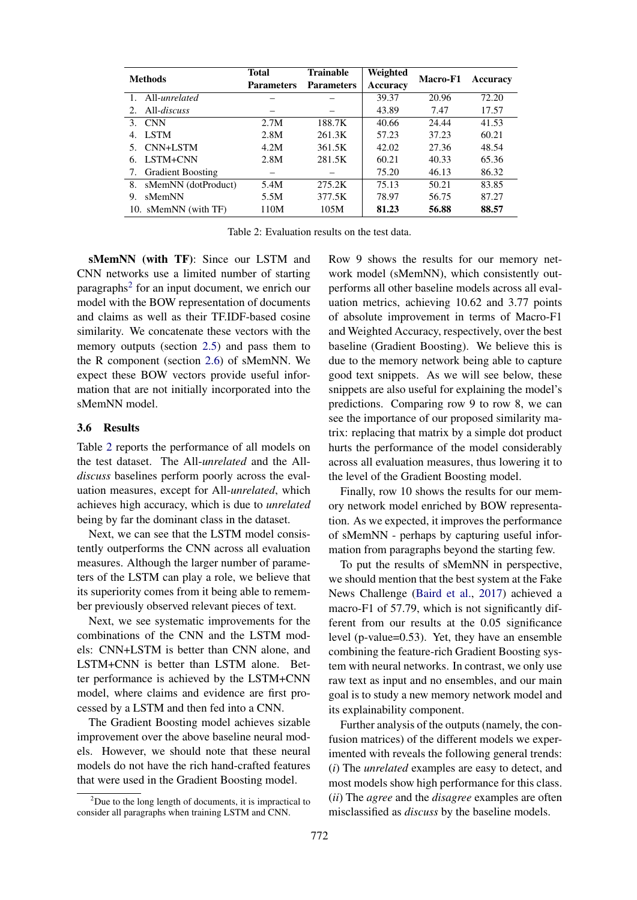| <b>Methods</b>                           | Total             | <b>Trainable</b>  | Weighted | Macro-F1 | Accuracy |  |
|------------------------------------------|-------------------|-------------------|----------|----------|----------|--|
|                                          | <b>Parameters</b> | <b>Parameters</b> | Accuracy |          |          |  |
| All-unrelated<br>1.                      |                   |                   | 39.37    | 20.96    | 72.20    |  |
| $All-discuss$<br>$\mathfrak{D}_{\alpha}$ |                   |                   | 43.89    | 7.47     | 17.57    |  |
| <b>CNN</b><br>3.                         | 2.7M              | 188.7K            | 40.66    | 24.44    | 41.53    |  |
| <b>LSTM</b><br>4.                        | 2.8M              | 261.3K            | 57.23    | 37.23    | 60.21    |  |
| CNN+LSTM                                 | 4.2M              | 361.5K            | 42.02    | 27.36    | 48.54    |  |
| LSTM+CNN<br>6.                           | 2.8M              | 281.5K            | 60.21    | 40.33    | 65.36    |  |
| <b>Gradient Boosting</b><br>7.           |                   |                   | 75.20    | 46.13    | 86.32    |  |
| sMemNN (dotProduct)<br>8.                | 5.4M              | 275.2K            | 75.13    | 50.21    | 83.85    |  |
| sMemNN<br>9.                             | 5.5M              | 377.5K            | 78.97    | 56.75    | 87.27    |  |
| 10. sMemNN (with TF)                     | 110M              | 105M              | 81.23    | 56.88    | 88.57    |  |

Table 2: Evaluation results on the test data.

sMemNN (with TF): Since our LSTM and CNN networks use a limited number of starting paragraphs<sup>2</sup> for an input document, we enrich our model with the BOW representation of documents and claims as well as their TF.IDF-based cosine similarity. We concatenate these vectors with the memory outputs (section 2.5) and pass them to the R component (section 2.6) of sMemNN. We expect these BOW vectors provide useful information that are not initially incorporated into the sMemNN model.

#### 3.6 Results

Table 2 reports the performance of all models on the test dataset. The All-*unrelated* and the All*discuss* baselines perform poorly across the evaluation measures, except for All-*unrelated*, which achieves high accuracy, which is due to *unrelated* being by far the dominant class in the dataset.

Next, we can see that the LSTM model consistently outperforms the CNN across all evaluation measures. Although the larger number of parameters of the LSTM can play a role, we believe that its superiority comes from it being able to remember previously observed relevant pieces of text.

Next, we see systematic improvements for the combinations of the CNN and the LSTM models: CNN+LSTM is better than CNN alone, and LSTM+CNN is better than LSTM alone. Better performance is achieved by the LSTM+CNN model, where claims and evidence are first processed by a LSTM and then fed into a CNN.

The Gradient Boosting model achieves sizable improvement over the above baseline neural models. However, we should note that these neural models do not have the rich hand-crafted features that were used in the Gradient Boosting model.

Row 9 shows the results for our memory network model (sMemNN), which consistently outperforms all other baseline models across all evaluation metrics, achieving 10.62 and 3.77 points of absolute improvement in terms of Macro-F1 and Weighted Accuracy, respectively, over the best baseline (Gradient Boosting). We believe this is due to the memory network being able to capture good text snippets. As we will see below, these snippets are also useful for explaining the model's predictions. Comparing row 9 to row 8, we can see the importance of our proposed similarity matrix: replacing that matrix by a simple dot product hurts the performance of the model considerably across all evaluation measures, thus lowering it to the level of the Gradient Boosting model.

Finally, row 10 shows the results for our memory network model enriched by BOW representation. As we expected, it improves the performance of sMemNN - perhaps by capturing useful information from paragraphs beyond the starting few.

To put the results of sMemNN in perspective, we should mention that the best system at the Fake News Challenge (Baird et al., 2017) achieved a macro-F1 of 57.79, which is not significantly different from our results at the 0.05 significance level (p-value=0.53). Yet, they have an ensemble combining the feature-rich Gradient Boosting system with neural networks. In contrast, we only use raw text as input and no ensembles, and our main goal is to study a new memory network model and its explainability component.

Further analysis of the outputs (namely, the confusion matrices) of the different models we experimented with reveals the following general trends: (*i*) The *unrelated* examples are easy to detect, and most models show high performance for this class. (*ii*) The *agree* and the *disagree* examples are often misclassified as *discuss* by the baseline models.

 $2^2$ Due to the long length of documents, it is impractical to consider all paragraphs when training LSTM and CNN.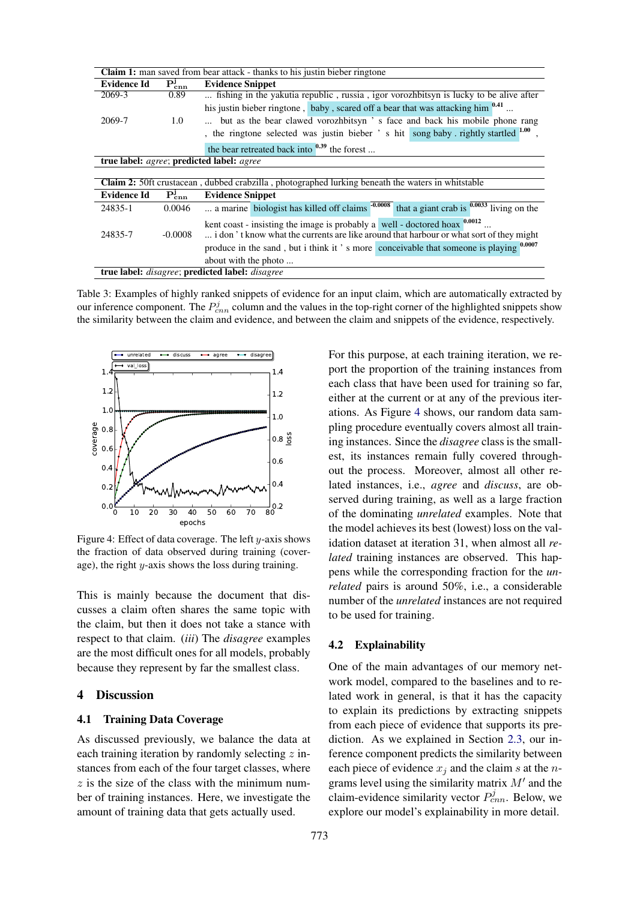| <b>Claim 1:</b> man saved from bear attack - thanks to his just in bieber ringtone                       |                                                                    |                                                                                                                                                                        |  |  |
|----------------------------------------------------------------------------------------------------------|--------------------------------------------------------------------|------------------------------------------------------------------------------------------------------------------------------------------------------------------------|--|--|
| Evidence Id                                                                                              | $P_{\rm{cnn}}^{\rm{j}}$                                            | <b>Evidence Snippet</b>                                                                                                                                                |  |  |
| 2069-3                                                                                                   | 0.89                                                               | fishing in the yakutia republic, russia, igor vorozhbitsyn is lucky to be alive after                                                                                  |  |  |
|                                                                                                          |                                                                    | his justin bieber ringtone, baby, scared off a bear that was attacking him $^{0.41}$                                                                                   |  |  |
| 2069-7                                                                                                   | $1.0^{\circ}$                                                      | but as the bear clawed vorozhbitsyn 's face and back his mobile phone rang                                                                                             |  |  |
|                                                                                                          |                                                                    | , the ringtone selected was justin bieber ' s hit song baby rightly startled 1.00                                                                                      |  |  |
|                                                                                                          |                                                                    | the bear retreated back into $^{0.39}$ the forest                                                                                                                      |  |  |
| true label: agree; predicted label: agree                                                                |                                                                    |                                                                                                                                                                        |  |  |
|                                                                                                          |                                                                    |                                                                                                                                                                        |  |  |
| <b>Claim 2:</b> 50ft crustacean, dubbed crabzilla, photographed lurking beneath the waters in whitstable |                                                                    |                                                                                                                                                                        |  |  |
| <b>Evidence Id</b>                                                                                       | $\bar{\mathbf{P}}_{\mathbf{c}\mathbf{\underline{m}}}^{\mathbf{j}}$ | <b>Evidence Snippet</b>                                                                                                                                                |  |  |
| 24835-1                                                                                                  | 0.0046                                                             | a marine biologist has killed off claims -0.0008<br>that a giant crab is $0.0033$ living on the                                                                        |  |  |
| 24835-7                                                                                                  | $-0.0008$                                                          | kent coast - insisting the image is probably a well - doctored hoax $0.0012$<br>i don't know what the currents are like around that harbour or what sort of they might |  |  |
|                                                                                                          |                                                                    | produce in the sand, but i think it's more conceivable that someone is playing 0.0007                                                                                  |  |  |
|                                                                                                          |                                                                    | about with the photo                                                                                                                                                   |  |  |
| true label: disagree; predicted label: disagree                                                          |                                                                    |                                                                                                                                                                        |  |  |

Table 3: Examples of highly ranked snippets of evidence for an input claim, which are automatically extracted by our inference component. The  $P_{cnn}^j$  column and the values in the top-right corner of the highlighted snippets show the similarity between the claim and evidence, and between the claim and snippets of the evidence, respectively.



Figure 4: Effect of data coverage. The left  $y$ -axis shows the fraction of data observed during training (coverage), the right y-axis shows the loss during training.

This is mainly because the document that discusses a claim often shares the same topic with the claim, but then it does not take a stance with respect to that claim. (*iii*) The *disagree* examples are the most difficult ones for all models, probably because they represent by far the smallest class.

# 4 Discussion

# 4.1 Training Data Coverage

As discussed previously, we balance the data at each training iteration by randomly selecting  $z$  instances from each of the four target classes, where  $z$  is the size of the class with the minimum number of training instances. Here, we investigate the amount of training data that gets actually used.

For this purpose, at each training iteration, we report the proportion of the training instances from each class that have been used for training so far, either at the current or at any of the previous iterations. As Figure 4 shows, our random data sampling procedure eventually covers almost all training instances. Since the *disagree* class is the smallest, its instances remain fully covered throughout the process. Moreover, almost all other related instances, i.e., *agree* and *discuss*, are observed during training, as well as a large fraction of the dominating *unrelated* examples. Note that the model achieves its best (lowest) loss on the validation dataset at iteration 31, when almost all *related* training instances are observed. This happens while the corresponding fraction for the *unrelated* pairs is around 50%, i.e., a considerable number of the *unrelated* instances are not required to be used for training.

#### 4.2 Explainability

One of the main advantages of our memory network model, compared to the baselines and to related work in general, is that it has the capacity to explain its predictions by extracting snippets from each piece of evidence that supports its prediction. As we explained in Section 2.3, our inference component predicts the similarity between each piece of evidence  $x_i$  and the claim s at the ngrams level using the similarity matrix  $M'$  and the claim-evidence similarity vector  $P_{cnn}^{j}$ . Below, we explore our model's explainability in more detail.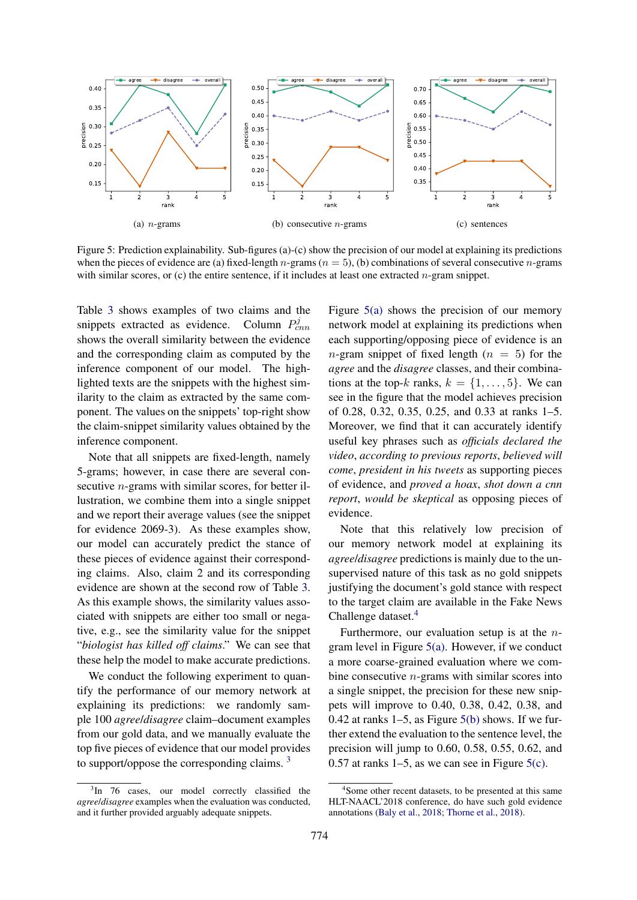

Figure 5: Prediction explainability. Sub-figures (a)-(c) show the precision of our model at explaining its predictions when the pieces of evidence are (a) fixed-length n-grams ( $n = 5$ ), (b) combinations of several consecutive n-grams with similar scores, or (c) the entire sentence, if it includes at least one extracted  $n$ -gram snippet.

Table 3 shows examples of two claims and the snippets extracted as evidence. Column  $P_{cnn}^{j}$ shows the overall similarity between the evidence and the corresponding claim as computed by the inference component of our model. The highlighted texts are the snippets with the highest similarity to the claim as extracted by the same component. The values on the snippets' top-right show the claim-snippet similarity values obtained by the inference component.

Note that all snippets are fixed-length, namely 5-grams; however, in case there are several consecutive *n*-grams with similar scores, for better illustration, we combine them into a single snippet and we report their average values (see the snippet for evidence 2069-3). As these examples show, our model can accurately predict the stance of these pieces of evidence against their corresponding claims. Also, claim 2 and its corresponding evidence are shown at the second row of Table 3. As this example shows, the similarity values associated with snippets are either too small or negative, e.g., see the similarity value for the snippet "*biologist has killed off claims*." We can see that these help the model to make accurate predictions.

We conduct the following experiment to quantify the performance of our memory network at explaining its predictions: we randomly sample 100 *agree*/*disagree* claim–document examples from our gold data, and we manually evaluate the top five pieces of evidence that our model provides to support/oppose the corresponding claims. <sup>3</sup>

Figure 5(a) shows the precision of our memory network model at explaining its predictions when each supporting/opposing piece of evidence is an *n*-gram snippet of fixed length  $(n = 5)$  for the *agree* and the *disagree* classes, and their combinations at the top-k ranks,  $k = \{1, \ldots, 5\}$ . We can see in the figure that the model achieves precision of 0.28, 0.32, 0.35, 0.25, and 0.33 at ranks 1–5. Moreover, we find that it can accurately identify useful key phrases such as *officials declared the video*, *according to previous reports*, *believed will come*, *president in his tweets* as supporting pieces of evidence, and *proved a hoax*, *shot down a cnn report*, *would be skeptical* as opposing pieces of evidence.

Note that this relatively low precision of our memory network model at explaining its *agree*/*disagree* predictions is mainly due to the unsupervised nature of this task as no gold snippets justifying the document's gold stance with respect to the target claim are available in the Fake News Challenge dataset.<sup>4</sup>

Furthermore, our evaluation setup is at the  $n$ gram level in Figure 5(a). However, if we conduct a more coarse-grained evaluation where we combine consecutive n-grams with similar scores into a single snippet, the precision for these new snippets will improve to 0.40, 0.38, 0.42, 0.38, and 0.42 at ranks  $1-5$ , as Figure  $5(b)$  shows. If we further extend the evaluation to the sentence level, the precision will jump to 0.60, 0.58, 0.55, 0.62, and 0.57 at ranks 1–5, as we can see in Figure 5(c).

 $3$ In 76 cases, our model correctly classified the *agree*/*disagree* examples when the evaluation was conducted, and it further provided arguably adequate snippets.

<sup>4</sup> Some other recent datasets, to be presented at this same HLT-NAACL'2018 conference, do have such gold evidence annotations (Baly et al., 2018; Thorne et al., 2018).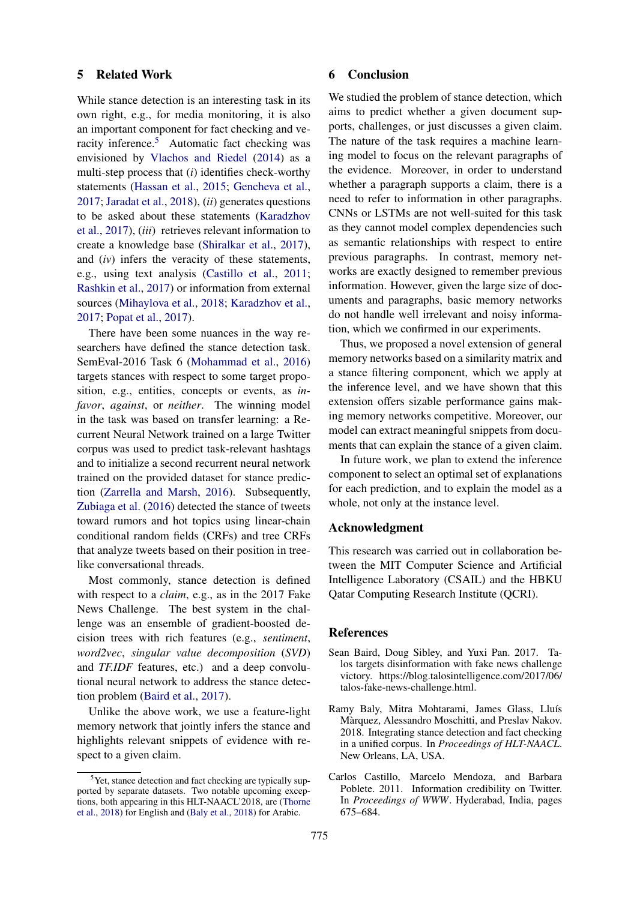### 5 Related Work

While stance detection is an interesting task in its own right, e.g., for media monitoring, it is also an important component for fact checking and veracity inference.<sup>5</sup> Automatic fact checking was envisioned by Vlachos and Riedel (2014) as a multi-step process that (*i*) identifies check-worthy statements (Hassan et al., 2015; Gencheva et al., 2017; Jaradat et al., 2018), (*ii*) generates questions to be asked about these statements (Karadzhov et al., 2017), (*iii*) retrieves relevant information to create a knowledge base (Shiralkar et al., 2017), and (*iv*) infers the veracity of these statements, e.g., using text analysis (Castillo et al., 2011; Rashkin et al., 2017) or information from external sources (Mihaylova et al., 2018; Karadzhov et al., 2017; Popat et al., 2017).

There have been some nuances in the way researchers have defined the stance detection task. SemEval-2016 Task 6 (Mohammad et al., 2016) targets stances with respect to some target proposition, e.g., entities, concepts or events, as *infavor*, *against*, or *neither*. The winning model in the task was based on transfer learning: a Recurrent Neural Network trained on a large Twitter corpus was used to predict task-relevant hashtags and to initialize a second recurrent neural network trained on the provided dataset for stance prediction (Zarrella and Marsh, 2016). Subsequently, Zubiaga et al. (2016) detected the stance of tweets toward rumors and hot topics using linear-chain conditional random fields (CRFs) and tree CRFs that analyze tweets based on their position in treelike conversational threads.

Most commonly, stance detection is defined with respect to a *claim*, e.g., as in the 2017 Fake News Challenge. The best system in the challenge was an ensemble of gradient-boosted decision trees with rich features (e.g., *sentiment*, *word2vec*, *singular value decomposition* (*SVD*) and *TF.IDF* features, etc.) and a deep convolutional neural network to address the stance detection problem (Baird et al., 2017).

Unlike the above work, we use a feature-light memory network that jointly infers the stance and highlights relevant snippets of evidence with respect to a given claim.

### 6 Conclusion

We studied the problem of stance detection, which aims to predict whether a given document supports, challenges, or just discusses a given claim. The nature of the task requires a machine learning model to focus on the relevant paragraphs of the evidence. Moreover, in order to understand whether a paragraph supports a claim, there is a need to refer to information in other paragraphs. CNNs or LSTMs are not well-suited for this task as they cannot model complex dependencies such as semantic relationships with respect to entire previous paragraphs. In contrast, memory networks are exactly designed to remember previous information. However, given the large size of documents and paragraphs, basic memory networks do not handle well irrelevant and noisy information, which we confirmed in our experiments.

Thus, we proposed a novel extension of general memory networks based on a similarity matrix and a stance filtering component, which we apply at the inference level, and we have shown that this extension offers sizable performance gains making memory networks competitive. Moreover, our model can extract meaningful snippets from documents that can explain the stance of a given claim.

In future work, we plan to extend the inference component to select an optimal set of explanations for each prediction, and to explain the model as a whole, not only at the instance level.

# Acknowledgment

This research was carried out in collaboration between the MIT Computer Science and Artificial Intelligence Laboratory (CSAIL) and the HBKU Qatar Computing Research Institute (QCRI).

# **References**

- Sean Baird, Doug Sibley, and Yuxi Pan. 2017. Talos targets disinformation with fake news challenge victory. https://blog.talosintelligence.com/2017/06/ talos-fake-news-challenge.html.
- Ramy Baly, Mitra Mohtarami, James Glass, Lluís Màrquez, Alessandro Moschitti, and Preslav Nakov. 2018. Integrating stance detection and fact checking in a unified corpus. In *Proceedings of HLT-NAACL*. New Orleans, LA, USA.
- Carlos Castillo, Marcelo Mendoza, and Barbara Poblete. 2011. Information credibility on Twitter. In *Proceedings of WWW*. Hyderabad, India, pages 675–684.

 $5$ Yet, stance detection and fact checking are typically supported by separate datasets. Two notable upcoming exceptions, both appearing in this HLT-NAACL'2018, are (Thorne et al., 2018) for English and (Baly et al., 2018) for Arabic.